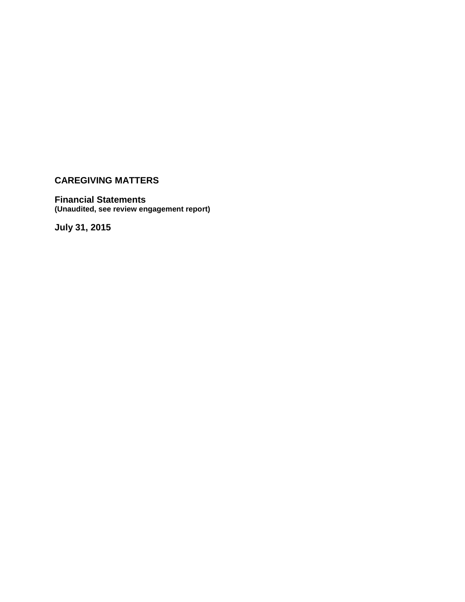### **Financial Statements (Unaudited, see review engagement report)**

**July 31, 2015**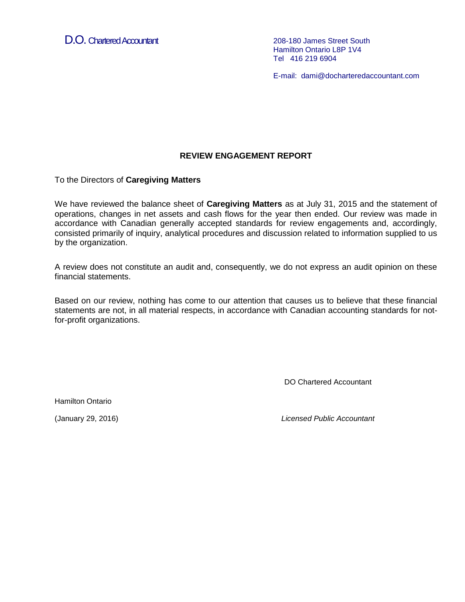D.O. Chartered Accountant 208-180 James Street South

Hamilton Ontario L8P 1V4 Tel 416 219 6904

E-mail: dami@docharteredaccountant.com

### **REVIEW ENGAGEMENT REPORT**

To the Directors of **Caregiving Matters**

We have reviewed the balance sheet of **Caregiving Matters** as at July 31, 2015 and the statement of operations, changes in net assets and cash flows for the year then ended. Our review was made in accordance with Canadian generally accepted standards for review engagements and, accordingly, consisted primarily of inquiry, analytical procedures and discussion related to information supplied to us by the organization.

A review does not constitute an audit and, consequently, we do not express an audit opinion on these financial statements.

Based on our review, nothing has come to our attention that causes us to believe that these financial statements are not, in all material respects, in accordance with Canadian accounting standards for notfor-profit organizations.

DO Chartered Accountant

Hamilton Ontario

(January 29, 2016) *Licensed Public Accountant*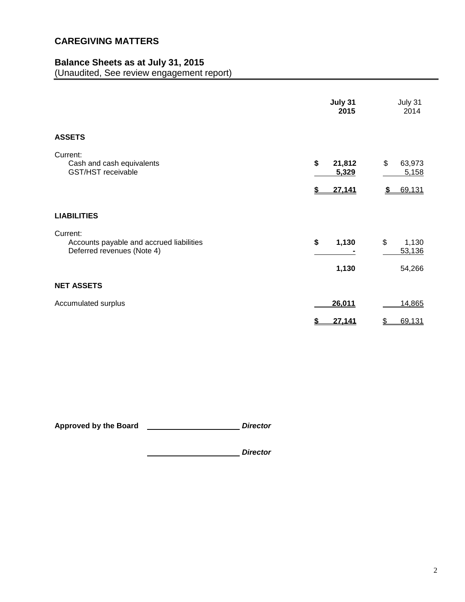# **Balance Sheets as at July 31, 2015**

(Unaudited, See review engagement report)

|                                                                                    | July 31<br>2015                       | July 31<br>2014                       |
|------------------------------------------------------------------------------------|---------------------------------------|---------------------------------------|
| <b>ASSETS</b>                                                                      |                                       |                                       |
| Current:<br>Cash and cash equivalents<br><b>GST/HST</b> receivable                 | \$<br>21,812<br>5,329<br>27,141<br>\$ | \$<br>63,973<br>5,158<br>69,131<br>\$ |
| <b>LIABILITIES</b>                                                                 |                                       |                                       |
| Current:<br>Accounts payable and accrued liabilities<br>Deferred revenues (Note 4) | \$<br>1,130<br>1,130                  | \$<br>1,130<br>53,136<br>54,266       |
| <b>NET ASSETS</b>                                                                  |                                       |                                       |
| Accumulated surplus                                                                | 26,011                                | 14,865                                |
|                                                                                    | 27,141<br>\$                          | 69,131<br>\$                          |

Approved by the Board *<u>Approved by the Board</u>* 

*Director*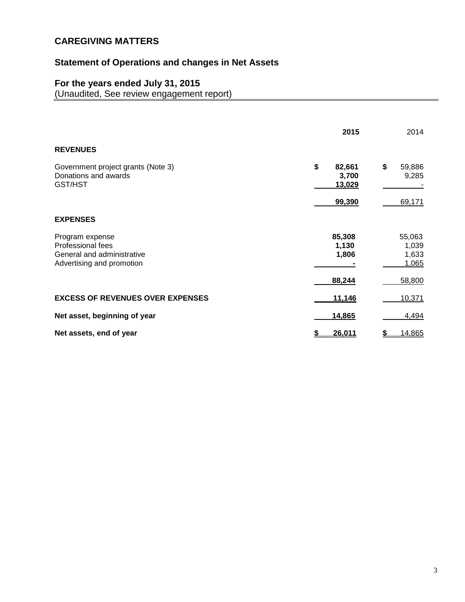# **Statement of Operations and changes in Net Assets**

### **For the years ended July 31, 2015**

(Unaudited, See review engagement report)

|                                                                                                 | 2015                               | 2014                                        |
|-------------------------------------------------------------------------------------------------|------------------------------------|---------------------------------------------|
| <b>REVENUES</b>                                                                                 |                                    |                                             |
| Government project grants (Note 3)<br>Donations and awards<br>GST/HST                           | \$<br>82,661<br>3,700<br>13,029    | \$<br>59,886<br>9,285                       |
|                                                                                                 | 99,390                             | 69,171                                      |
| <b>EXPENSES</b>                                                                                 |                                    |                                             |
| Program expense<br>Professional fees<br>General and administrative<br>Advertising and promotion | 85,308<br>1,130<br>1,806<br>88,244 | 55,063<br>1,039<br>1,633<br>1,065<br>58,800 |
| <b>EXCESS OF REVENUES OVER EXPENSES</b>                                                         | 11,146                             | 10,371                                      |
| Net asset, beginning of year                                                                    | 14,865                             | 4,494                                       |
| Net assets, end of year                                                                         | 26,011                             | 14,865                                      |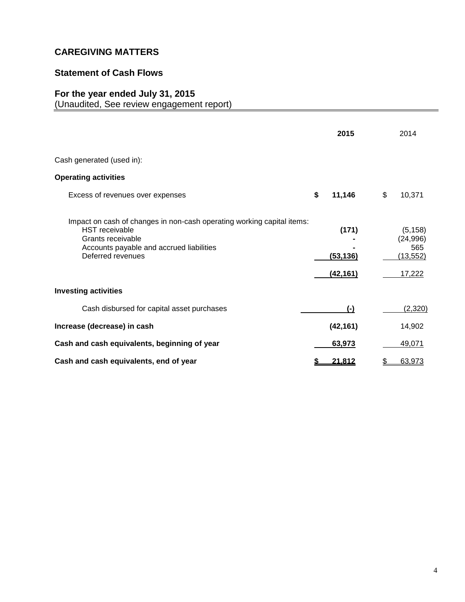# **Statement of Cash Flows**

# **For the year ended July 31, 2015**

(Unaudited, See review engagement report)

|                                                                                                                                                                                       | 2015                            | 2014                                                |
|---------------------------------------------------------------------------------------------------------------------------------------------------------------------------------------|---------------------------------|-----------------------------------------------------|
| Cash generated (used in):                                                                                                                                                             |                                 |                                                     |
| <b>Operating activities</b>                                                                                                                                                           |                                 |                                                     |
| Excess of revenues over expenses                                                                                                                                                      | \$<br>11,146                    | \$<br>10,371                                        |
| Impact on cash of changes in non-cash operating working capital items:<br><b>HST</b> receivable<br>Grants receivable<br>Accounts payable and accrued liabilities<br>Deferred revenues | (171)<br>(53, 136)<br>(42, 161) | (5, 158)<br>(24, 996)<br>565<br>(13, 552)<br>17,222 |
| <b>Investing activities</b>                                                                                                                                                           |                                 |                                                     |
| Cash disbursed for capital asset purchases                                                                                                                                            | $(-)$                           | (2,320)                                             |
| Increase (decrease) in cash                                                                                                                                                           | (42, 161)                       | 14,902                                              |
| Cash and cash equivalents, beginning of year                                                                                                                                          | 63,973                          | 49,071                                              |
| Cash and cash equivalents, end of year                                                                                                                                                | 21,812                          | 63,973<br>\$                                        |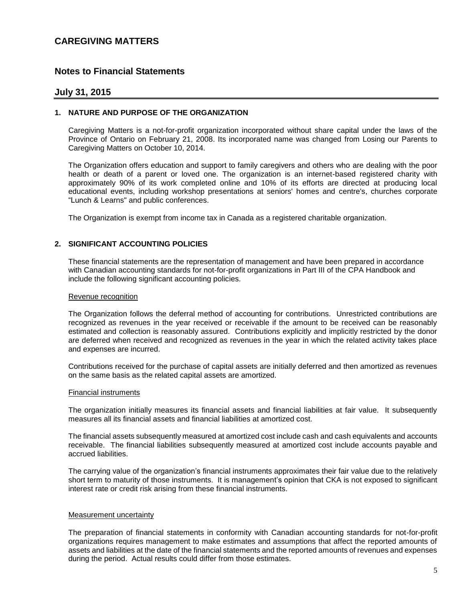### **Notes to Financial Statements**

#### **July 31, 2015**

#### **1. NATURE AND PURPOSE OF THE ORGANIZATION**

Caregiving Matters is a not-for-profit organization incorporated without share capital under the laws of the Province of Ontario on February 21, 2008. Its incorporated name was changed from Losing our Parents to Caregiving Matters on October 10, 2014.

The Organization offers education and support to family caregivers and others who are dealing with the poor health or death of a parent or loved one. The organization is an internet-based registered charity with approximately 90% of its work completed online and 10% of its efforts are directed at producing local educational events, including workshop presentations at seniors' homes and centre's, churches corporate "Lunch & Learns" and public conferences.

The Organization is exempt from income tax in Canada as a registered charitable organization.

#### **2. SIGNIFICANT ACCOUNTING POLICIES**

These financial statements are the representation of management and have been prepared in accordance with Canadian accounting standards for not-for-profit organizations in Part III of the CPA Handbook and include the following significant accounting policies.

#### Revenue recognition

The Organization follows the deferral method of accounting for contributions. Unrestricted contributions are recognized as revenues in the year received or receivable if the amount to be received can be reasonably estimated and collection is reasonably assured. Contributions explicitly and implicitly restricted by the donor are deferred when received and recognized as revenues in the year in which the related activity takes place and expenses are incurred.

Contributions received for the purchase of capital assets are initially deferred and then amortized as revenues on the same basis as the related capital assets are amortized.

#### Financial instruments

The organization initially measures its financial assets and financial liabilities at fair value. It subsequently measures all its financial assets and financial liabilities at amortized cost.

The financial assets subsequently measured at amortized cost include cash and cash equivalents and accounts receivable. The financial liabilities subsequently measured at amortized cost include accounts payable and accrued liabilities.

The carrying value of the organization's financial instruments approximates their fair value due to the relatively short term to maturity of those instruments. It is management's opinion that CKA is not exposed to significant interest rate or credit risk arising from these financial instruments.

#### Measurement uncertainty

The preparation of financial statements in conformity with Canadian accounting standards for not-for-profit organizations requires management to make estimates and assumptions that affect the reported amounts of assets and liabilities at the date of the financial statements and the reported amounts of revenues and expenses during the period. Actual results could differ from those estimates.